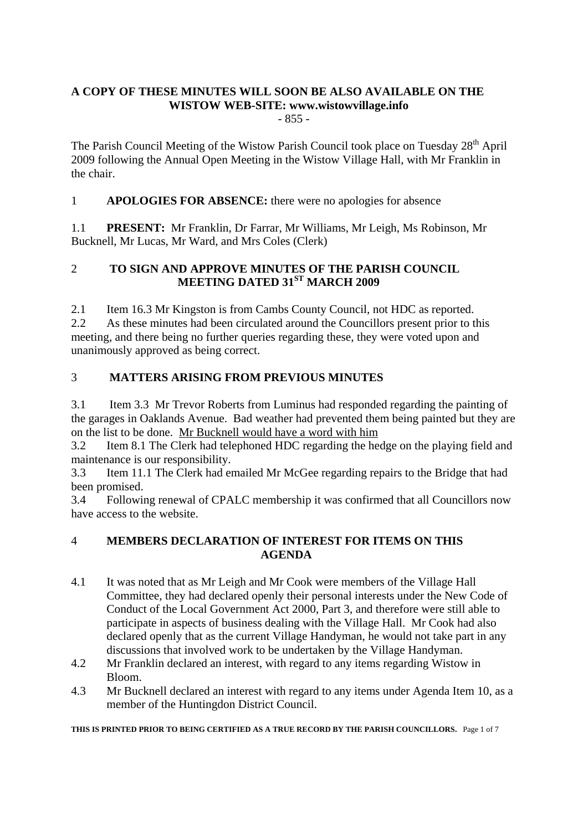# **A COPY OF THESE MINUTES WILL SOON BE ALSO AVAILABLE ON THE WISTOW WEB-SITE: www.wistowvillage.info**

- 855 -

The Parish Council Meeting of the Wistow Parish Council took place on Tuesday  $28<sup>th</sup>$  April 2009 following the Annual Open Meeting in the Wistow Village Hall, with Mr Franklin in the chair.

1 **APOLOGIES FOR ABSENCE:** there were no apologies for absence

1.1 **PRESENT:** Mr Franklin, Dr Farrar, Mr Williams, Mr Leigh, Ms Robinson, Mr Bucknell, Mr Lucas, Mr Ward, and Mrs Coles (Clerk)

# 2 **TO SIGN AND APPROVE MINUTES OF THE PARISH COUNCIL MEETING DATED 31<sup>ST</sup> MARCH 2009**

2.1 Item 16.3 Mr Kingston is from Cambs County Council, not HDC as reported. 2.2 As these minutes had been circulated around the Councillors present prior to this meeting, and there being no further queries regarding these, they were voted upon and unanimously approved as being correct.

# 3 **MATTERS ARISING FROM PREVIOUS MINUTES**

3.1 Item 3.3 Mr Trevor Roberts from Luminus had responded regarding the painting of the garages in Oaklands Avenue. Bad weather had prevented them being painted but they are on the list to be done. Mr Bucknell would have a word with him

3.2 Item 8.1 The Clerk had telephoned HDC regarding the hedge on the playing field and maintenance is our responsibility.

3.3 Item 11.1 The Clerk had emailed Mr McGee regarding repairs to the Bridge that had been promised.

3.4 Following renewal of CPALC membership it was confirmed that all Councillors now have access to the website.

# 4 **MEMBERS DECLARATION OF INTEREST FOR ITEMS ON THIS AGENDA**

- 4.1 It was noted that as Mr Leigh and Mr Cook were members of the Village Hall Committee, they had declared openly their personal interests under the New Code of Conduct of the Local Government Act 2000, Part 3, and therefore were still able to participate in aspects of business dealing with the Village Hall. Mr Cook had also declared openly that as the current Village Handyman, he would not take part in any discussions that involved work to be undertaken by the Village Handyman.
- 4.2 Mr Franklin declared an interest, with regard to any items regarding Wistow in Bloom.
- 4.3 Mr Bucknell declared an interest with regard to any items under Agenda Item 10, as a member of the Huntingdon District Council.

**THIS IS PRINTED PRIOR TO BEING CERTIFIED AS A TRUE RECORD BY THE PARISH COUNCILLORS.** Page 1 of 7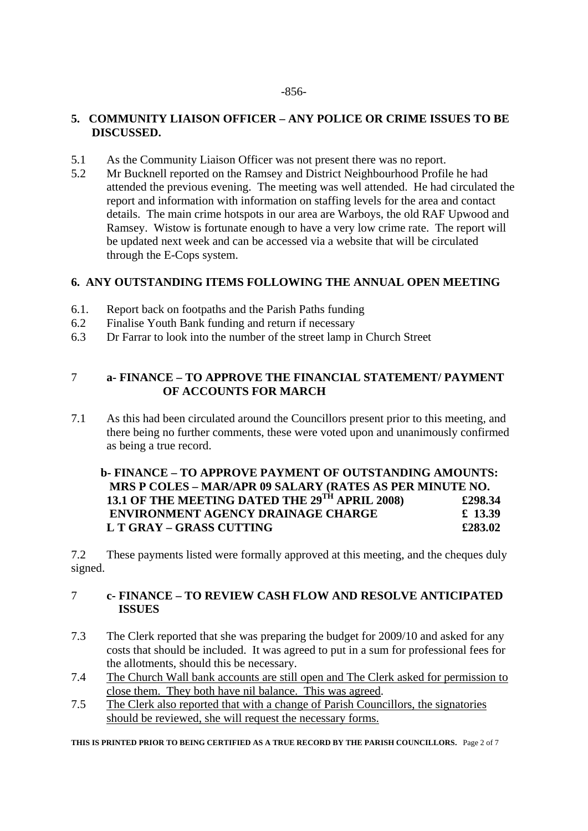#### -856-

# **5. COMMUNITY LIAISON OFFICER – ANY POLICE OR CRIME ISSUES TO BE DISCUSSED.**

- 5.1 As the Community Liaison Officer was not present there was no report.
- 5.2 Mr Bucknell reported on the Ramsey and District Neighbourhood Profile he had attended the previous evening. The meeting was well attended. He had circulated the report and information with information on staffing levels for the area and contact details. The main crime hotspots in our area are Warboys, the old RAF Upwood and Ramsey. Wistow is fortunate enough to have a very low crime rate. The report will be updated next week and can be accessed via a website that will be circulated through the E-Cops system.

# **6. ANY OUTSTANDING ITEMS FOLLOWING THE ANNUAL OPEN MEETING**

- 6.1. Report back on footpaths and the Parish Paths funding
- 6.2 Finalise Youth Bank funding and return if necessary
- 6.3 Dr Farrar to look into the number of the street lamp in Church Street

# 7 **a- FINANCE – TO APPROVE THE FINANCIAL STATEMENT/ PAYMENT OF ACCOUNTS FOR MARCH**

7.1 As this had been circulated around the Councillors present prior to this meeting, and there being no further comments, these were voted upon and unanimously confirmed as being a true record.

# **b- FINANCE – TO APPROVE PAYMENT OF OUTSTANDING AMOUNTS: MRS P COLES – MAR/APR 09 SALARY (RATES AS PER MINUTE NO. 13.1 OF THE MEETING DATED THE 29TH APRIL 2008) £298.34 ENVIRONMENT AGENCY DRAINAGE CHARGE £ 13.39 L T GRAY – GRASS CUTTING £283.02**

7.2 These payments listed were formally approved at this meeting, and the cheques duly signed.

### 7 **c- FINANCE – TO REVIEW CASH FLOW AND RESOLVE ANTICIPATED ISSUES**

- 7.3 The Clerk reported that she was preparing the budget for 2009/10 and asked for any costs that should be included. It was agreed to put in a sum for professional fees for the allotments, should this be necessary.
- 7.4 The Church Wall bank accounts are still open and The Clerk asked for permission to close them. They both have nil balance. This was agreed.
- 7.5 The Clerk also reported that with a change of Parish Councillors, the signatories should be reviewed, she will request the necessary forms.

**THIS IS PRINTED PRIOR TO BEING CERTIFIED AS A TRUE RECORD BY THE PARISH COUNCILLORS.** Page 2 of 7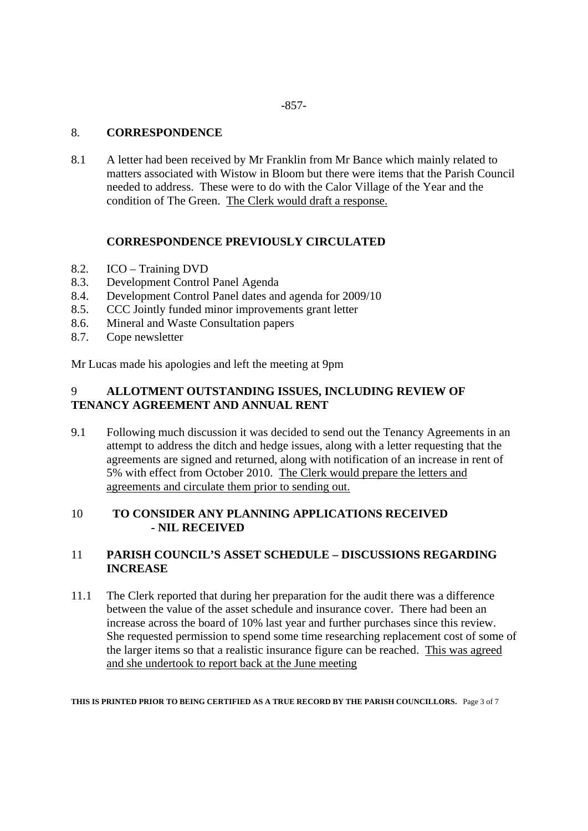#### -857-

#### 8. **CORRESPONDENCE**

8.1 A letter had been received by Mr Franklin from Mr Bance which mainly related to matters associated with Wistow in Bloom but there were items that the Parish Council needed to address. These were to do with the Calor Village of the Year and the condition of The Green. The Clerk would draft a response.

### **CORRESPONDENCE PREVIOUSLY CIRCULATED**

- 8.2. ICO Training DVD
- 8.3. Development Control Panel Agenda
- 8.4. Development Control Panel dates and agenda for 2009/10
- 8.5. CCC Jointly funded minor improvements grant letter
- 8.6. Mineral and Waste Consultation papers
- 8.7. Cope newsletter

Mr Lucas made his apologies and left the meeting at 9pm

# 9 **ALLOTMENT OUTSTANDING ISSUES, INCLUDING REVIEW OF TENANCY AGREEMENT AND ANNUAL RENT**

9.1 Following much discussion it was decided to send out the Tenancy Agreements in an attempt to address the ditch and hedge issues, along with a letter requesting that the agreements are signed and returned, along with notification of an increase in rent of 5% with effect from October 2010. The Clerk would prepare the letters and agreements and circulate them prior to sending out.

### 10 **TO CONSIDER ANY PLANNING APPLICATIONS RECEIVED - NIL RECEIVED**

### 11 **PARISH COUNCIL'S ASSET SCHEDULE – DISCUSSIONS REGARDING INCREASE**

11.1 The Clerk reported that during her preparation for the audit there was a difference between the value of the asset schedule and insurance cover. There had been an increase across the board of 10% last year and further purchases since this review. She requested permission to spend some time researching replacement cost of some of the larger items so that a realistic insurance figure can be reached. This was agreed and she undertook to report back at the June meeting

**THIS IS PRINTED PRIOR TO BEING CERTIFIED AS A TRUE RECORD BY THE PARISH COUNCILLORS.** Page 3 of 7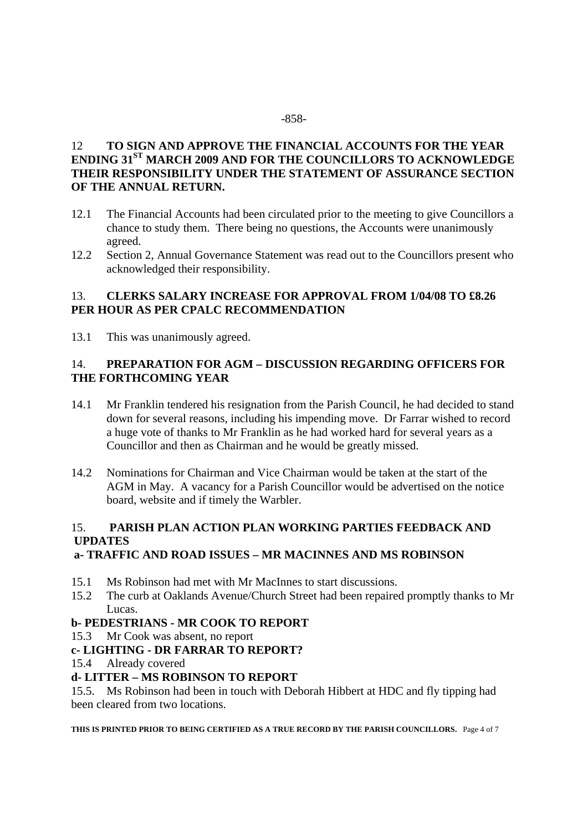#### -858-

# 12 **TO SIGN AND APPROVE THE FINANCIAL ACCOUNTS FOR THE YEAR ENDING 31ST MARCH 2009 AND FOR THE COUNCILLORS TO ACKNOWLEDGE THEIR RESPONSIBILITY UNDER THE STATEMENT OF ASSURANCE SECTION OF THE ANNUAL RETURN.**

- 12.1 The Financial Accounts had been circulated prior to the meeting to give Councillors a chance to study them. There being no questions, the Accounts were unanimously agreed.
- 12.2 Section 2, Annual Governance Statement was read out to the Councillors present who acknowledged their responsibility.

### 13. **CLERKS SALARY INCREASE FOR APPROVAL FROM 1/04/08 TO £8.26 PER HOUR AS PER CPALC RECOMMENDATION**

13.1 This was unanimously agreed.

# 14. **PREPARATION FOR AGM – DISCUSSION REGARDING OFFICERS FOR THE FORTHCOMING YEAR**

- 14.1 Mr Franklin tendered his resignation from the Parish Council, he had decided to stand down for several reasons, including his impending move. Dr Farrar wished to record a huge vote of thanks to Mr Franklin as he had worked hard for several years as a Councillor and then as Chairman and he would be greatly missed.
- 14.2 Nominations for Chairman and Vice Chairman would be taken at the start of the AGM in May. A vacancy for a Parish Councillor would be advertised on the notice board, website and if timely the Warbler.

# 15. **PARISH PLAN ACTION PLAN WORKING PARTIES FEEDBACK AND UPDATES**

#### **a- TRAFFIC AND ROAD ISSUES – MR MACINNES AND MS ROBINSON**

- 15.1 Ms Robinson had met with Mr MacInnes to start discussions.
- 15.2 The curb at Oaklands Avenue/Church Street had been repaired promptly thanks to Mr Lucas.

#### **b- PEDESTRIANS - MR COOK TO REPORT**

15.3 Mr Cook was absent, no report

#### **c- LIGHTING - DR FARRAR TO REPORT?**

15.4 Already covered

#### **d- LITTER – MS ROBINSON TO REPORT**

15.5. Ms Robinson had been in touch with Deborah Hibbert at HDC and fly tipping had been cleared from two locations.

**THIS IS PRINTED PRIOR TO BEING CERTIFIED AS A TRUE RECORD BY THE PARISH COUNCILLORS.** Page 4 of 7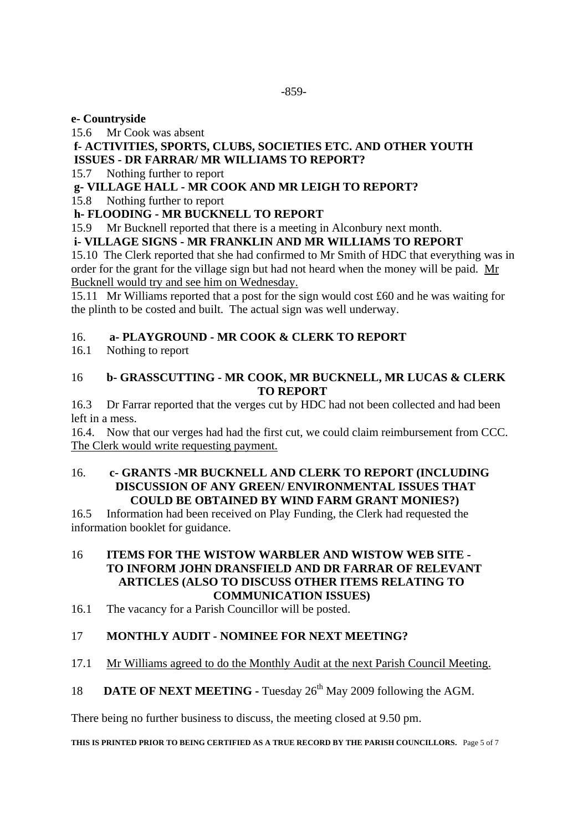### **e- Countryside**

15.6 Mr Cook was absent

# **f- ACTIVITIES, SPORTS, CLUBS, SOCIETIES ETC. AND OTHER YOUTH ISSUES - DR FARRAR/ MR WILLIAMS TO REPORT?**

15.7 Nothing further to report

# **g- VILLAGE HALL - MR COOK AND MR LEIGH TO REPORT?**

15.8 Nothing further to report

# **h- FLOODING - MR BUCKNELL TO REPORT**

15.9 Mr Bucknell reported that there is a meeting in Alconbury next month.

# **i- VILLAGE SIGNS - MR FRANKLIN AND MR WILLIAMS TO REPORT**

15.10 The Clerk reported that she had confirmed to Mr Smith of HDC that everything was in order for the grant for the village sign but had not heard when the money will be paid. Mr Bucknell would try and see him on Wednesday.

15.11 Mr Williams reported that a post for the sign would cost £60 and he was waiting for the plinth to be costed and built. The actual sign was well underway.

# 16. **a- PLAYGROUND - MR COOK & CLERK TO REPORT**

16.1 Nothing to report

# 16 **b- GRASSCUTTING - MR COOK, MR BUCKNELL, MR LUCAS & CLERK TO REPORT**

16.3 Dr Farrar reported that the verges cut by HDC had not been collected and had been left in a mess.

16.4. Now that our verges had had the first cut, we could claim reimbursement from CCC. The Clerk would write requesting payment.

### 16. **c- GRANTS -MR BUCKNELL AND CLERK TO REPORT (INCLUDING DISCUSSION OF ANY GREEN/ ENVIRONMENTAL ISSUES THAT COULD BE OBTAINED BY WIND FARM GRANT MONIES?)**

16.5 Information had been received on Play Funding, the Clerk had requested the information booklet for guidance.

### 16 **ITEMS FOR THE WISTOW WARBLER AND WISTOW WEB SITE - TO INFORM JOHN DRANSFIELD AND DR FARRAR OF RELEVANT ARTICLES (ALSO TO DISCUSS OTHER ITEMS RELATING TO COMMUNICATION ISSUES)**

16.1 The vacancy for a Parish Councillor will be posted.

# 17 **MONTHLY AUDIT - NOMINEE FOR NEXT MEETING?**

# 17.1 Mr Williams agreed to do the Monthly Audit at the next Parish Council Meeting.

# 18 **DATE OF NEXT MEETING - Tuesday 26<sup>th</sup> May 2009 following the AGM.**

There being no further business to discuss, the meeting closed at 9.50 pm.

**THIS IS PRINTED PRIOR TO BEING CERTIFIED AS A TRUE RECORD BY THE PARISH COUNCILLORS.** Page 5 of 7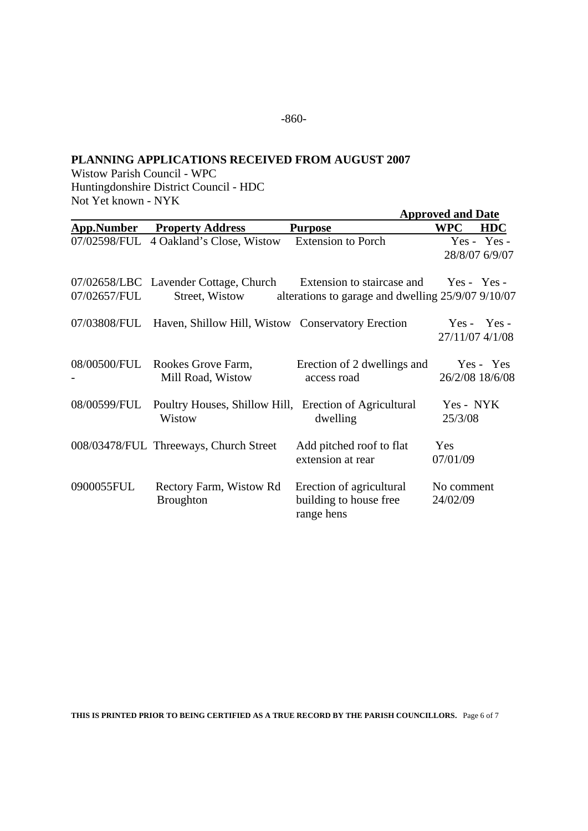### **PLANNING APPLICATIONS RECEIVED FROM AUGUST 2007**

Wistow Parish Council - WPC Huntingdonshire District Council - HDC Not Yet known - NYK

|              |                                                                                                |                                                                  | <b>Approved and Date</b> |                                 |
|--------------|------------------------------------------------------------------------------------------------|------------------------------------------------------------------|--------------------------|---------------------------------|
| App.Number   | <b>Property Address</b>                                                                        | <b>Purpose</b>                                                   | <b>WPC</b>               | <b>HDC</b>                      |
|              | 07/02598/FUL 4 Oakland's Close, Wistow                                                         | <b>Extension to Porch</b>                                        |                          | $Yes - Yes -$<br>28/8/07 6/9/07 |
| 07/02657/FUL | 07/02658/LBC Lavender Cottage, Church Extension to staircase and Yes - Yes -<br>Street, Wistow | alterations to garage and dwelling 25/9/07 9/10/07               |                          |                                 |
|              | 07/03808/FUL Haven, Shillow Hill, Wistow Conservatory Erection                                 |                                                                  | 27/11/07 4/1/08          | $Yes - Yes -$                   |
| 08/00500/FUL | Rookes Grove Farm,<br>Mill Road, Wistow                                                        | Erection of 2 dwellings and<br>access road                       | 26/2/08 18/6/08          | Yes - Yes                       |
|              | 08/00599/FUL Poultry Houses, Shillow Hill, Erection of Agricultural<br>Wistow                  | dwelling                                                         | Yes - NYK<br>25/3/08     |                                 |
|              | 008/03478/FUL Threeways, Church Street                                                         | Add pitched roof to flat<br>extension at rear                    | <b>Yes</b><br>07/01/09   |                                 |
| 0900055FUL   | Rectory Farm, Wistow Rd<br><b>Broughton</b>                                                    | Erection of agricultural<br>building to house free<br>range hens | No comment<br>24/02/09   |                                 |

**THIS IS PRINTED PRIOR TO BEING CERTIFIED AS A TRUE RECORD BY THE PARISH COUNCILLORS.** Page 6 of 7